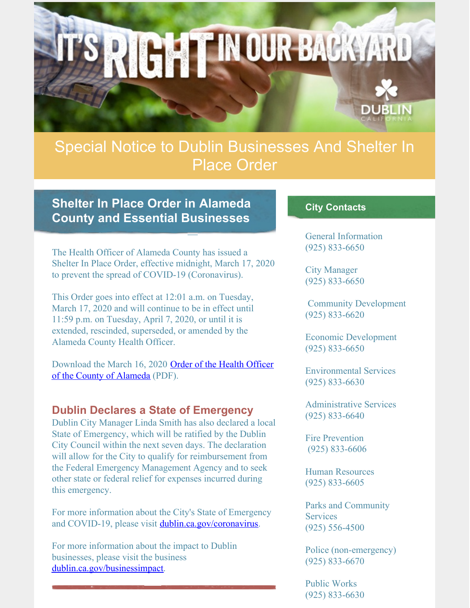

# Special Notice to Dublin Businesses And Shelter In Place Order

# **Shelter In Place Order in Alameda County and Essential Businesses**

The Health Officer of Alameda County has issued a Shelter In Place Order, effective midnight, March 17, 2020 to prevent the spread of COVID-19 (Coronavirus).

This Order goes into effect at 12:01 a.m. on Tuesday, March 17, 2020 and will continue to be in effect until 11:59 p.m. on Tuesday, April 7, 2020, or until it is extended, rescinded, superseded, or amended by the Alameda County Health Officer.

[Download](https://files.constantcontact.com/76ac12bc001/47079ba5-4eb7-4e91-9f4d-5a5fbd77c0e8.pdf) the March 16, 2020 Order of the Health Officer of the County of Alameda (PDF).

#### **Dublin Declares a State of Emergency**

Dublin City Manager Linda Smith has also declared a local State of Emergency, which will be ratified by the Dublin City Council within the next seven days. The declaration will allow for the City to qualify for reimbursement from the Federal Emergency Management Agency and to seek other state or federal relief for expenses incurred during this emergency.

For more information about the City's State of Emergency and COVID-19, please visit [dublin.ca.gov/coronavirus](http://www.dublin.ca.gov/coronavirus).

For more information about the impact to Dublin businesses, please visit the business [dublin.ca.gov/businessimpact](https://www.dublin.ca.gov/2177/COVID-19-Business-Recovery).

#### **City Contacts**

General Information (925) 833-6650

City Manager (925) 833-6650

Community Development (925) 833-6620

Economic Development (925) 833-6650

Environmental Services (925) 833-6630

Administrative Services (925) 833-6640

Fire Prevention (925) 833-6606

Human Resources (925) 833-6605

Parks and Community **Services** (925) 556-4500

Police (non-emergency) (925) 833-6670

Public Works (925) 833-6630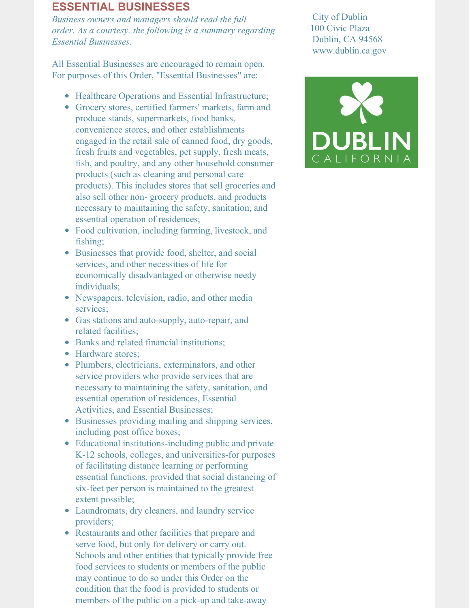#### **ESSENTIAL BUSINESSES**

*Business owners and managers should read the full order. As a courtesy, the following is a summary regarding Essential Businesses.*

All Essential Businesses are encouraged to remain open. For purposes of this Order, "Essential Businesses" are:

- Healthcare Operations and Essential Infrastructure;
- Grocery stores, certified farmers' markets, farm and produce stands, supermarkets, food banks, convenience stores, and other establishments engaged in the retail sale of canned food, dry goods, fresh fruits and vegetables, pet supply, fresh meats, fish, and poultry, and any other household consumer products (such as cleaning and personal care products). This includes stores that sell groceries and also sell other non- grocery products, and products necessary to maintaining the safety, sanitation, and essential operation of residences;
- Food cultivation, including farming, livestock, and fishing;
- Businesses that provide food, shelter, and social services, and other necessities of life for economically disadvantaged or otherwise needy individuals;
- Newspapers, television, radio, and other media services;
- Gas stations and auto-supply, auto-repair, and related facilities;
- Banks and related financial institutions:
- Hardware stores;
- Plumbers, electricians, exterminators, and other service providers who provide services that are necessary to maintaining the safety, sanitation, and essential operation of residences, Essential Activities, and Essential Businesses;
- Businesses providing mailing and shipping services, including post office boxes;
- Educational institutions-including public and private K-12 schools, colleges, and universities-for purposes of facilitating distance learning or performing essential functions, provided that social distancing of six-feet per person is maintained to the greatest extent possible;
- Laundromats, dry cleaners, and laundry service providers;
- Restaurants and other facilities that prepare and serve food, but only for delivery or carry out. Schools and other entities that typically provide free food services to students or members of the public may continue to do so under this Order on the condition that the food is provided to students or members of the public on a pick-up and take-away

City of Dublin 100 Civic Plaza Dublin, CA 94568 www.dublin.ca.gov

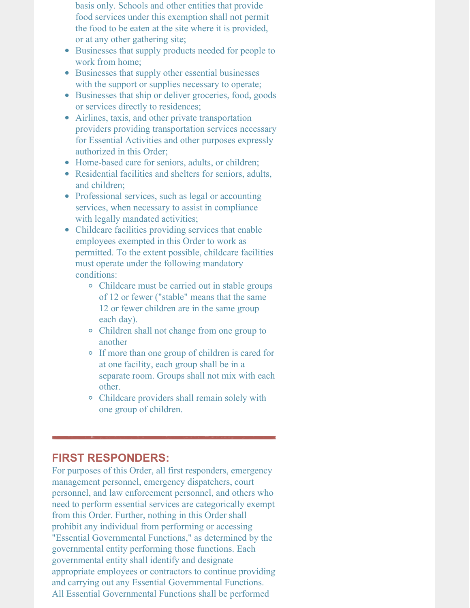basis only. Schools and other entities that provide food services under this exemption shall not permit the food to be eaten at the site where it is provided, or at any other gathering site;

- Businesses that supply products needed for people to work from home;
- Businesses that supply other essential businesses with the support or supplies necessary to operate;
- Businesses that ship or deliver groceries, food, goods or services directly to residences;
- Airlines, taxis, and other private transportation providers providing transportation services necessary for Essential Activities and other purposes expressly authorized in this Order;
- Home-based care for seniors, adults, or children;
- Residential facilities and shelters for seniors, adults, and children;
- Professional services, such as legal or accounting services, when necessary to assist in compliance with legally mandated activities;
- Childcare facilities providing services that enable employees exempted in this Order to work as permitted. To the extent possible, childcare facilities must operate under the following mandatory conditions:
	- Childcare must be carried out in stable groups of 12 or fewer ("stable" means that the same 12 or fewer children are in the same group each day).
	- Children shall not change from one group to another
	- If more than one group of children is cared for at one facility, each group shall be in a separate room. Groups shall not mix with each other.
	- Childcare providers shall remain solely with one group of children.

## **FIRST RESPONDERS:**

For purposes of this Order, all first responders, emergency management personnel, emergency dispatchers, court personnel, and law enforcement personnel, and others who need to perform essential services are categorically exempt from this Order. Further, nothing in this Order shall prohibit any individual from performing or accessing "Essential Governmental Functions," as determined by the governmental entity performing those functions. Each governmental entity shall identify and designate appropriate employees or contractors to continue providing and carrying out any Essential Governmental Functions. All Essential Governmental Functions shall be performed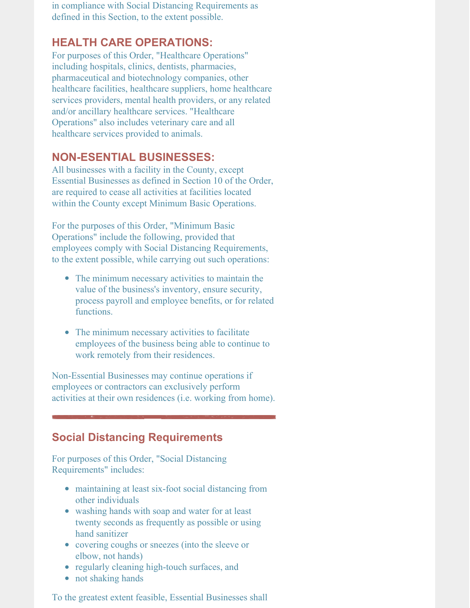in compliance with Social Distancing Requirements as defined in this Section, to the extent possible.

#### **HEALTH CARE OPERATIONS:**

For purposes of this Order, "Healthcare Operations" including hospitals, clinics, dentists, pharmacies, pharmaceutical and biotechnology companies, other healthcare facilities, healthcare suppliers, home healthcare services providers, mental health providers, or any related and/or ancillary healthcare services. "Healthcare Operations" also includes veterinary care and all healthcare services provided to animals.

#### **NON-ESENTIAL BUSINESSES:**

All businesses with a facility in the County, except Essential Businesses as defined in Section 10 of the Order, are required to cease all activities at facilities located within the County except Minimum Basic Operations.

For the purposes of this Order, "Minimum Basic Operations" include the following, provided that employees comply with Social Distancing Requirements, to the extent possible, while carrying out such operations:

- The minimum necessary activities to maintain the value of the business's inventory, ensure security, process payroll and employee benefits, or for related functions.
- The minimum necessary activities to facilitate employees of the business being able to continue to work remotely from their residences.

Non-Essential Businesses may continue operations if employees or contractors can exclusively perform activities at their own residences (i.e. working from home).

## **Social Distancing Requirements**

For purposes of this Order, "Social Distancing Requirements" includes:

- maintaining at least six-foot social distancing from other individuals
- washing hands with soap and water for at least twenty seconds as frequently as possible or using hand sanitizer
- covering coughs or sneezes (into the sleeve or elbow, not hands)
- regularly cleaning high-touch surfaces, and
- not shaking hands

To the greatest extent feasible, Essential Businesses shall